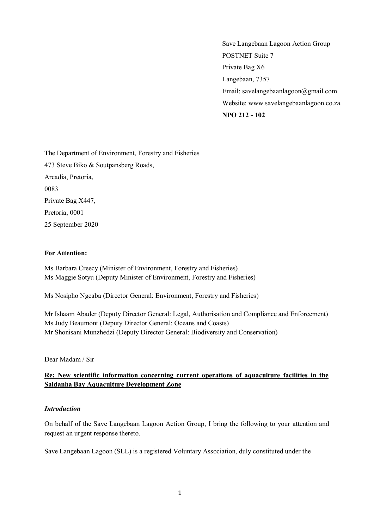Save Langebaan Lagoon Action Group POSTNET Suite 7 Private Bag X6 Langebaan, 7357 Email: savelangebaanlagoon@gmail.com Website: www.savelangebaanlagoon.co.za **NPO 212 - 102**

The Department of Environment, Forestry and Fisheries 473 Steve Biko & Soutpansberg Roads, Arcadia, Pretoria, 0083 Private Bag X447, Pretoria, 0001 25 September 2020

#### **For Attention:**

Ms Barbara Creecy (Minister of Environment, Forestry and Fisheries) Ms Maggie Sotyu (Deputy Minister of Environment, Forestry and Fisheries)

Ms Nosipho Ngcaba (Director General: Environment, Forestry and Fisheries)

Mr Ishaam Abader (Deputy Director General: Legal, Authorisation and Compliance and Enforcement) Ms Judy Beaumont (Deputy Director General: Oceans and Coasts) Mr Shonisani Munzhedzi (Deputy Director General: Biodiversity and Conservation)

Dear Madam / Sir

### **Re: New scientific information concerning current operations of aquaculture facilities in the Saldanha Bay Aquaculture Development Zone**

### *Introduction*

On behalf of the Save Langebaan Lagoon Action Group, I bring the following to your attention and request an urgent response thereto.

Save Langebaan Lagoon (SLL) is a registered Voluntary Association, duly constituted under the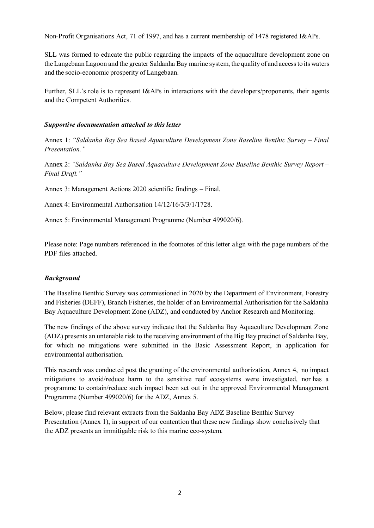Non-Profit Organisations Act, 71 of 1997, and has a current membership of 1478 registered I&APs.

SLL was formed to educate the public regarding the impacts of the aquaculture development zone on the Langebaan Lagoon and the greater Saldanha Bay marine system, the quality of and accessto its waters and the socio-economic prosperity of Langebaan.

Further, SLL's role is to represent I&APs in interactions with the developers/proponents, their agents and the Competent Authorities.

#### *Supportive documentation attached to this letter*

Annex 1: *"Saldanha Bay Sea Based Aquaculture Development Zone Baseline Benthic Survey – Final Presentation."* 

Annex 2: *"Saldanha Bay Sea Based Aquaculture Development Zone Baseline Benthic Survey Report – Final Draft."*

Annex 3: Management Actions 2020 scientific findings – Final.

Annex 4: Environmental Authorisation 14/12/16/3/3/1/1728.

Annex 5: Environmental Management Programme (Number 499020/6).

Please note: Page numbers referenced in the footnotes of this letter align with the page numbers of the PDF files attached.

### *Background*

The Baseline Benthic Survey was commissioned in 2020 by the Department of Environment, Forestry and Fisheries (DEFF), Branch Fisheries, the holder of an Environmental Authorisation for the Saldanha Bay Aquaculture Development Zone (ADZ), and conducted by Anchor Research and Monitoring.

The new findings of the above survey indicate that the Saldanha Bay Aquaculture Development Zone (ADZ) presents an untenable risk to the receiving environment of the Big Bay precinct of Saldanha Bay, for which no mitigations were submitted in the Basic Assessment Report, in application for environmental authorisation.

This research was conducted post the granting of the environmental authorization, Annex 4, no impact mitigations to avoid/reduce harm to the sensitive reef ecosystems were investigated, nor has a programme to contain/reduce such impact been set out in the approved Environmental Management Programme (Number 499020/6) for the ADZ, Annex 5.

Below, please find relevant extracts from the Saldanha Bay ADZ Baseline Benthic Survey Presentation (Annex 1), in support of our contention that these new findings show conclusively that the ADZ presents an immitigable risk to this marine eco-system.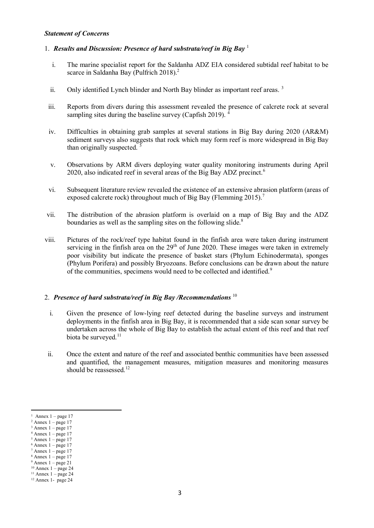#### *Statement of Concerns*

# 1. *Results and Discussion: Presence of hard substrata/reef in Big Bay* <sup>1</sup>

- i. The marine specialist report for the Saldanha ADZ EIA considered subtidal reef habitat to be scarce in Saldanha Bay (Pulfrich 2018).<sup>2</sup>
- ii. Only identified Lynch blinder and North Bay blinder as important reef areas.<sup>3</sup>
- iii. Reports from divers during this assessment revealed the presence of calcrete rock at several sampling sites during the baseline survey (Capfish 2019).
- iv. Difficulties in obtaining grab samples at several stations in Big Bay during 2020 (AR&M) sediment surveys also suggests that rock which may form reef is more widespread in Big Bay than originally suspected. <sup>5</sup>
- v. Observations by ARM divers deploying water quality monitoring instruments during April 2020, also indicated reef in several areas of the Big Bay ADZ precinct.<sup>6</sup>
- vi. Subsequent literature review revealed the existence of an extensive abrasion platform (areas of exposed calcrete rock) throughout much of Big Bay (Flemming 2015).<sup>7</sup>
- vii. The distribution of the abrasion platform is overlaid on a map of Big Bay and the ADZ boundaries as well as the sampling sites on the following slide.<sup>8</sup>
- viii. Pictures of the rock/reef type habitat found in the finfish area were taken during instrument servicing in the finfish area on the  $29<sup>th</sup>$  of June 2020. These images were taken in extremely poor visibility but indicate the presence of basket stars (Phylum Echinodermata), sponges (Phylum Porifera) and possibly Bryozoans. Before conclusions can be drawn about the nature of the communities, specimens would need to be collected and identified.<sup>9</sup>

### 2. *Presence of hard substrata/reef in Big Bay /Recommendations* <sup>10</sup>

- i. Given the presence of low-lying reef detected during the baseline surveys and instrument deployments in the finfish area in Big Bay, it is recommended that a side scan sonar survey be undertaken across the whole of Big Bay to establish the actual extent of this reef and that reef biota be surveyed. $^{11}$
- ii. Once the extent and nature of the reef and associated benthic communities have been assessed and quantified, the management measures, mitigation measures and monitoring measures should be reassessed.<sup>12</sup>

<sup>1</sup> Annex  $1 -$  page 17

 $2$  Annex  $1 - page 17$ 

Annex  $1 -$  page 17

 $4$  Annex  $1 - page 17$ 

 $<sup>5</sup>$  Annex 1 – page 17</sup>  $6$  Annex  $1 -$  page 17

 $7$  Annex  $1$  – page 17

 $8$  Annex  $1$  – page 17

 $9$  Annex  $1 - page 21$ 

 $10$  Annex 1 – page 24

 $11$  Annex 1 – page 24

 $12$  Annex 1- page 24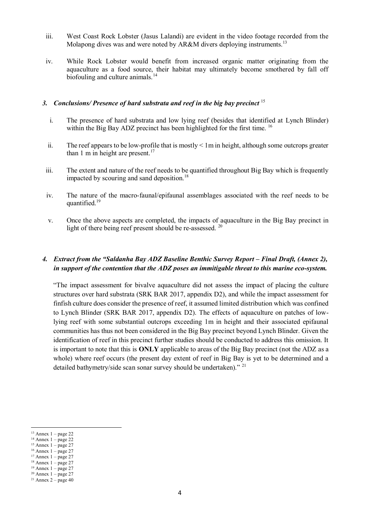- iii. West Coast Rock Lobster (Jasus Lalandi) are evident in the video footage recorded from the Molapong dives was and were noted by AR&M divers deploying instruments.<sup>13</sup>
- iv. While Rock Lobster would benefit from increased organic matter originating from the aquaculture as a food source, their habitat may ultimately become smothered by fall off biofouling and culture animals.<sup>14</sup>

# *3. Conclusions/ Presence of hard substrata and reef in the big bay precinct* <sup>15</sup>

- i. The presence of hard substrata and low lying reef (besides that identified at Lynch Blinder) within the Big Bay ADZ precinct has been highlighted for the first time.  $^{16}$
- ii. The reef appears to be low-profile that is mostly < 1m in height, although some outcrops greater than 1 m in height are present.<sup>17</sup>
- iii. The extent and nature of the reef needs to be quantified throughout Big Bay which is frequently impacted by scouring and sand deposition.<sup>18</sup>
- iv. The nature of the macro-faunal/epifaunal assemblages associated with the reef needs to be quantified.<sup>19</sup>
- v. Once the above aspects are completed, the impacts of aquaculture in the Big Bay precinct in light of there being reef present should be re-assessed. <sup>20</sup>

# *4. Extract from the "Saldanha Bay ADZ Baseline Benthic Survey Report – Final Draft, (Annex 2), in support of the contention that the ADZ poses an immitigable threat to this marine eco-system.*

"The impact assessment for bivalve aquaculture did not assess the impact of placing the culture structures over hard substrata (SRK BAR 2017, appendix D2), and while the impact assessment for finfish culture does consider the presence of reef, it assumed limited distribution which was confined to Lynch Blinder (SRK BAR 2017, appendix D2). The effects of aquaculture on patches of lowlying reef with some substantial outcrops exceeding 1m in height and their associated epifaunal communities has thus not been considered in the Big Bay precinct beyond Lynch Blinder. Given the identification of reef in this precinct further studies should be conducted to address this omission. It is important to note that this is **ONLY** applicable to areas of the Big Bay precinct (not the ADZ as a whole) where reef occurs (the present day extent of reef in Big Bay is yet to be determined and a detailed bathymetry/side scan sonar survey should be undertaken)."<sup>21</sup>

 $\ddot{\phantom{a}}$ 

 $15$  Annex  $1 - page 27$  $16$  Annex  $1 - page 27$ 

<sup>13</sup> Annex 1 – page 22

 $14$  Annex  $1 -$  page 22

 $17$  Annex  $1$  – page 27

<sup>18</sup> Annex 1 – page 27

 $19$  Annex 1 – page 27

 $20$  Annex  $1 - page 27$ 

 $21$  Annex  $2$  – page 40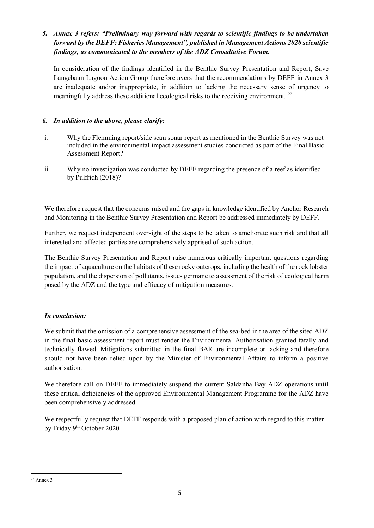# *5. Annex 3 refers: "Preliminary way forward with regards to scientific findings to be undertaken forward by the DEFF: Fisheries Management", published in Management Actions 2020 scientific findings, as communicated to the members of the ADZ Consultative Forum.*

In consideration of the findings identified in the Benthic Survey Presentation and Report, Save Langebaan Lagoon Action Group therefore avers that the recommendations by DEFF in Annex 3 are inadequate and/or inappropriate, in addition to lacking the necessary sense of urgency to meaningfully address these additional ecological risks to the receiving environment.<sup>22</sup>

# *6. In addition to the above, please clarify:*

- i. Why the Flemming report/side scan sonar report as mentioned in the Benthic Survey was not included in the environmental impact assessment studies conducted as part of the Final Basic Assessment Report?
- ii. Why no investigation was conducted by DEFF regarding the presence of a reef as identified by Pulfrich (2018)?

We therefore request that the concerns raised and the gaps in knowledge identified by Anchor Research and Monitoring in the Benthic Survey Presentation and Report be addressed immediately by DEFF.

Further, we request independent oversight of the steps to be taken to ameliorate such risk and that all interested and affected parties are comprehensively apprised of such action.

The Benthic Survey Presentation and Report raise numerous critically important questions regarding the impact of aquaculture on the habitats of these rocky outcrops, including the health of the rock lobster population, and the dispersion of pollutants, issues germane to assessment of the risk of ecological harm posed by the ADZ and the type and efficacy of mitigation measures.

# *In conclusion:*

We submit that the omission of a comprehensive assessment of the sea-bed in the area of the sited ADZ in the final basic assessment report must render the Environmental Authorisation granted fatally and technically flawed. Mitigations submitted in the final BAR are incomplete or lacking and therefore should not have been relied upon by the Minister of Environmental Affairs to inform a positive authorisation.

We therefore call on DEFF to immediately suspend the current Saldanha Bay ADZ operations until these critical deficiencies of the approved Environmental Management Programme for the ADZ have been comprehensively addressed.

We respectfully request that DEFF responds with a proposed plan of action with regard to this matter by Friday 9<sup>th</sup> October 2020

 $\overline{a}$  $22$  Annex 3